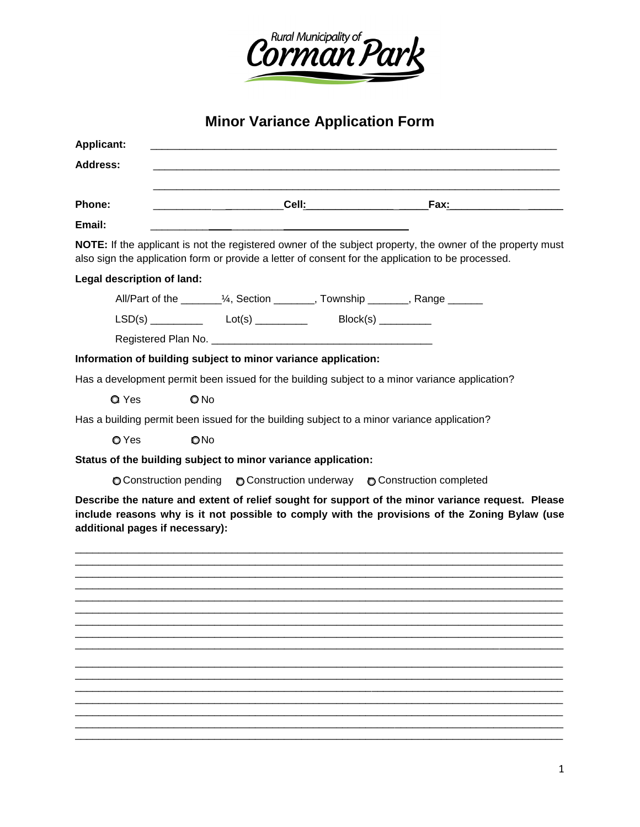

**Minor Variance Application Form** 

| <b>Applicant:</b>          |                                                                                                                                                                                                                                                                                                |  |                                                                                                                                                                                                    |
|----------------------------|------------------------------------------------------------------------------------------------------------------------------------------------------------------------------------------------------------------------------------------------------------------------------------------------|--|----------------------------------------------------------------------------------------------------------------------------------------------------------------------------------------------------|
| Address:                   |                                                                                                                                                                                                                                                                                                |  |                                                                                                                                                                                                    |
|                            |                                                                                                                                                                                                                                                                                                |  |                                                                                                                                                                                                    |
| Phone:                     |                                                                                                                                                                                                                                                                                                |  |                                                                                                                                                                                                    |
| Email:                     |                                                                                                                                                                                                                                                                                                |  |                                                                                                                                                                                                    |
|                            | also sign the application form or provide a letter of consent for the application to be processed.                                                                                                                                                                                             |  | NOTE: If the applicant is not the registered owner of the subject property, the owner of the property must                                                                                         |
| Legal description of land: |                                                                                                                                                                                                                                                                                                |  |                                                                                                                                                                                                    |
|                            | All/Part of the _________1/4, Section ________, Township _______, Range _______                                                                                                                                                                                                                |  |                                                                                                                                                                                                    |
|                            | $LSD(s)$ $Lot(s)$ $Dot(s)$ $Dot(s)$ $Dot(s)$ $Dot(s)$ $Dot(s)$ $Dot(s)$ $Dot(s)$ $Dot(s)$ $Dot(s)$ $Dot(s)$ $Dot(s)$ $Dot(s)$ $Dot(s)$ $Dot(s)$ $Dot(s)$ $Dot(s)$ $Dot(s)$ $Dot(s)$ $Dot(s)$ $Dot(s)$ $Dot(s)$ $Dot(s)$ $Dot(s)$ $Dot(s)$ $Dot(s)$ $Dot(s)$ $Dot(s)$ $Dot(s)$ $Dot(s)$ $Dot(s$ |  |                                                                                                                                                                                                    |
|                            |                                                                                                                                                                                                                                                                                                |  |                                                                                                                                                                                                    |
|                            | Information of building subject to minor variance application:                                                                                                                                                                                                                                 |  |                                                                                                                                                                                                    |
|                            | Has a development permit been issued for the building subject to a minor variance application?                                                                                                                                                                                                 |  |                                                                                                                                                                                                    |
| Q Yes                      | $Q$ No                                                                                                                                                                                                                                                                                         |  |                                                                                                                                                                                                    |
|                            | Has a building permit been issued for the building subject to a minor variance application?                                                                                                                                                                                                    |  |                                                                                                                                                                                                    |
| O Yes                      | ONo                                                                                                                                                                                                                                                                                            |  |                                                                                                                                                                                                    |
|                            | Status of the building subject to minor variance application:                                                                                                                                                                                                                                  |  |                                                                                                                                                                                                    |
|                            | ○ Construction pending ○ Construction underway ○ Construction completed                                                                                                                                                                                                                        |  |                                                                                                                                                                                                    |
|                            | additional pages if necessary):                                                                                                                                                                                                                                                                |  | Describe the nature and extent of relief sought for support of the minor variance request. Please<br>include reasons why is it not possible to comply with the provisions of the Zoning Bylaw (use |
|                            |                                                                                                                                                                                                                                                                                                |  |                                                                                                                                                                                                    |
|                            |                                                                                                                                                                                                                                                                                                |  |                                                                                                                                                                                                    |
|                            |                                                                                                                                                                                                                                                                                                |  |                                                                                                                                                                                                    |
|                            |                                                                                                                                                                                                                                                                                                |  |                                                                                                                                                                                                    |
|                            |                                                                                                                                                                                                                                                                                                |  |                                                                                                                                                                                                    |
|                            |                                                                                                                                                                                                                                                                                                |  |                                                                                                                                                                                                    |
|                            |                                                                                                                                                                                                                                                                                                |  |                                                                                                                                                                                                    |
|                            |                                                                                                                                                                                                                                                                                                |  |                                                                                                                                                                                                    |
|                            |                                                                                                                                                                                                                                                                                                |  |                                                                                                                                                                                                    |
|                            |                                                                                                                                                                                                                                                                                                |  |                                                                                                                                                                                                    |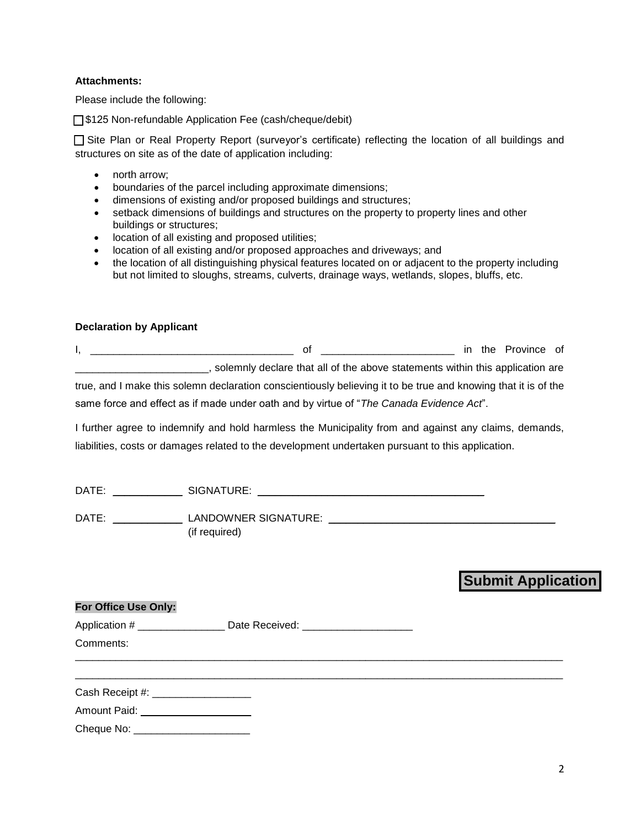## **Attachments:**

Please include the following:

□ \$125 Non-refundable Application Fee (cash/cheque/debit)

□ Site Plan or Real Property Report (surveyor's certificate) reflecting the location of all buildings and structures on site as of the date of application including:

- north arrow;
- boundaries of the parcel including approximate dimensions;
- dimensions of existing and/or proposed buildings and structures;
- setback dimensions of buildings and structures on the property to property lines and other buildings or structures;
- **•** location of all existing and proposed utilities;
- location of all existing and/or proposed approaches and driveways; and
- the location of all distinguishing physical features located on or adjacent to the property including but not limited to sloughs, streams, culverts, drainage ways, wetlands, slopes, bluffs, etc.

## **Declaration by Applicant**

 $\sim$   $\frac{1}{2}$   $\sim$   $\frac{1}{2}$   $\sim$   $\sim$   $\sim$ 

| Ωt                                                                                                             |  | in the Province of |  |
|----------------------------------------------------------------------------------------------------------------|--|--------------------|--|
| solemnly declare that all of the above statements within this application are                                  |  |                    |  |
| true, and I make this solemn declaration conscientiously believing it to be true and knowing that it is of the |  |                    |  |
| same force and effect as if made under oath and by virtue of "The Canada Evidence Act".                        |  |                    |  |

I further agree to indemnify and hold harmless the Municipality from and against any claims, demands, liabilities, costs or damages related to the development undertaken pursuant to this application.

| DATE: | SIGNATURE:                            |  |
|-------|---------------------------------------|--|
| DATE: | LANDOWNER SIGNATURE:<br>(if required) |  |

# **Submit Application**

| For Office Use Only:                |                                                                            |  |
|-------------------------------------|----------------------------------------------------------------------------|--|
|                                     | Application # ___________________ Date Received: _________________________ |  |
| Comments:                           |                                                                            |  |
| Cash Receipt #: ___________________ |                                                                            |  |
| Amount Paid: _____________________  |                                                                            |  |
| Cheque No: _                        |                                                                            |  |